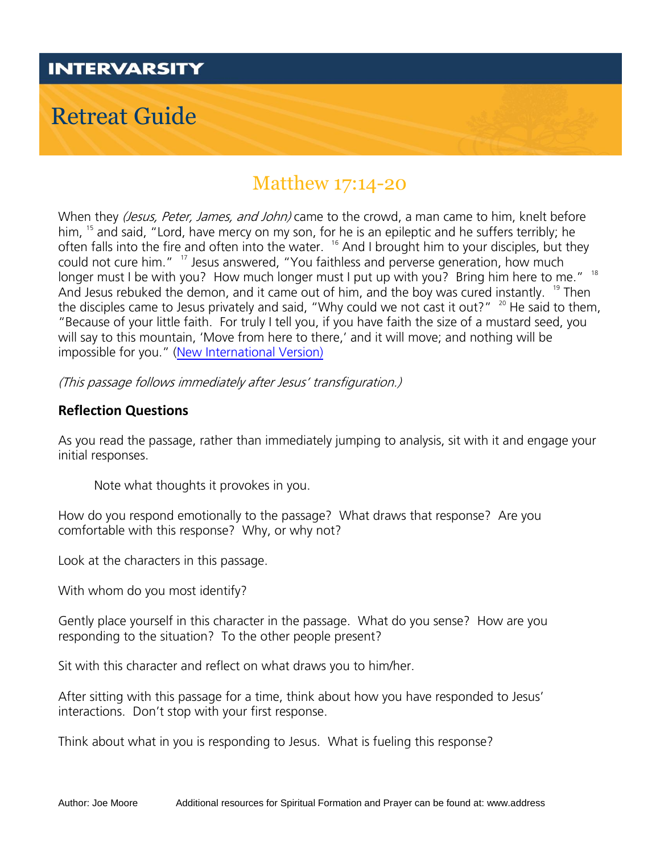

## Matthew 17:14-20

When they (Jesus, Peter, James, and John) came to the crowd, a man came to him, knelt before him, <sup>15</sup> and said, "Lord, have mercy on my son, for he is an epileptic and he suffers terribly; he often falls into the fire and often into the water. <sup>16</sup> And I brought him to your disciples, but they could not cure him." <sup>17</sup> Jesus answered, "You faithless and perverse generation, how much longer must I be with you? How much longer must I put up with you? Bring him here to me." <sup>18</sup> And Jesus rebuked the demon, and it came out of him, and the boy was cured instantly. <sup>19</sup> Then the disciples came to Jesus privately and said, "Why could we not cast it out?"<sup>20</sup> He said to them, "Because of your little faith. For truly I tell you, if you have faith the size of a mustard seed, you will say to this mountain, 'Move from here to there,' and it will move; and nothing will be impossible for you." ([New International Version\)](https://www.biblegateway.com/versions/New-International-Version-NIV-Bible/#copy)

(This passage follows immediately after Jesus' transfiguration.)

## **Reflection Questions**

As you read the passage, rather than immediately jumping to analysis, sit with it and engage your initial responses.

Note what thoughts it provokes in you.

How do you respond emotionally to the passage? What draws that response? Are you comfortable with this response? Why, or why not?

Look at the characters in this passage.

With whom do you most identify?

Gently place yourself in this character in the passage. What do you sense? How are you responding to the situation? To the other people present?

Sit with this character and reflect on what draws you to him/her.

After sitting with this passage for a time, think about how you have responded to Jesus' interactions. Don't stop with your first response.

Think about what in you is responding to Jesus. What is fueling this response?